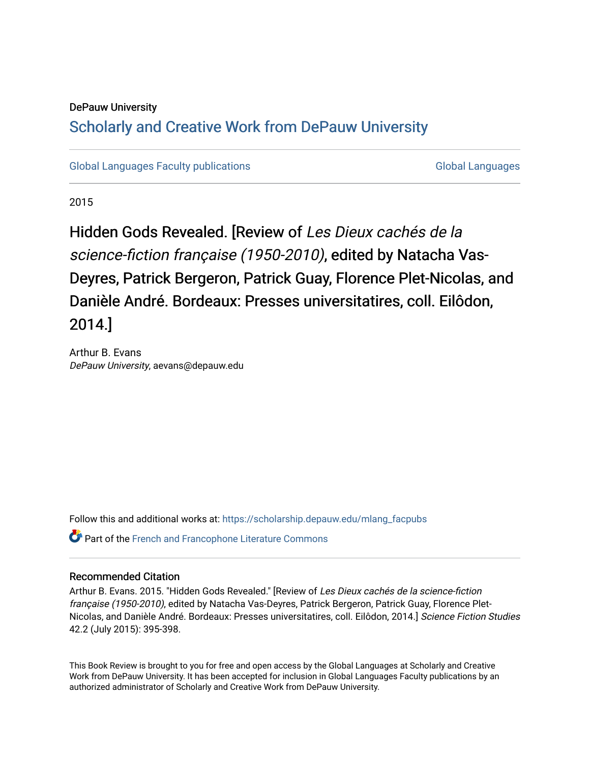## DePauw University

# Scholarly and [Creative Work from DePauw Univ](https://scholarship.depauw.edu/)ersity

[Global Languages Faculty publications](https://scholarship.depauw.edu/mlang_facpubs) [Global Languages](https://scholarship.depauw.edu/modernlanguages) Global Languages

2015

Hidden Gods Revealed. [Review of Les Dieux cachés de la science-fiction française (1950-2010), edited by Natacha Vas-Deyres, Patrick Bergeron, Patrick Guay, Florence Plet-Nicolas, and Danièle André. Bordeaux: Presses universitatires, coll. Eilôdon, 2014.]

Arthur B. Evans DePauw University, aevans@depauw.edu

Follow this and additional works at: [https://scholarship.depauw.edu/mlang\\_facpubs](https://scholarship.depauw.edu/mlang_facpubs?utm_source=scholarship.depauw.edu%2Fmlang_facpubs%2F73&utm_medium=PDF&utm_campaign=PDFCoverPages)

Part of the [French and Francophone Literature Commons](https://network.bepress.com/hgg/discipline/465?utm_source=scholarship.depauw.edu%2Fmlang_facpubs%2F73&utm_medium=PDF&utm_campaign=PDFCoverPages) 

## Recommended Citation

Arthur B. Evans. 2015. "Hidden Gods Revealed." [Review of Les Dieux cachés de la science-fiction française (1950-2010), edited by Natacha Vas-Deyres, Patrick Bergeron, Patrick Guay, Florence Plet-Nicolas, and Danièle André. Bordeaux: Presses universitatires, coll. Eilôdon, 2014.] Science Fiction Studies 42.2 (July 2015): 395-398.

This Book Review is brought to you for free and open access by the Global Languages at Scholarly and Creative Work from DePauw University. It has been accepted for inclusion in Global Languages Faculty publications by an authorized administrator of Scholarly and Creative Work from DePauw University.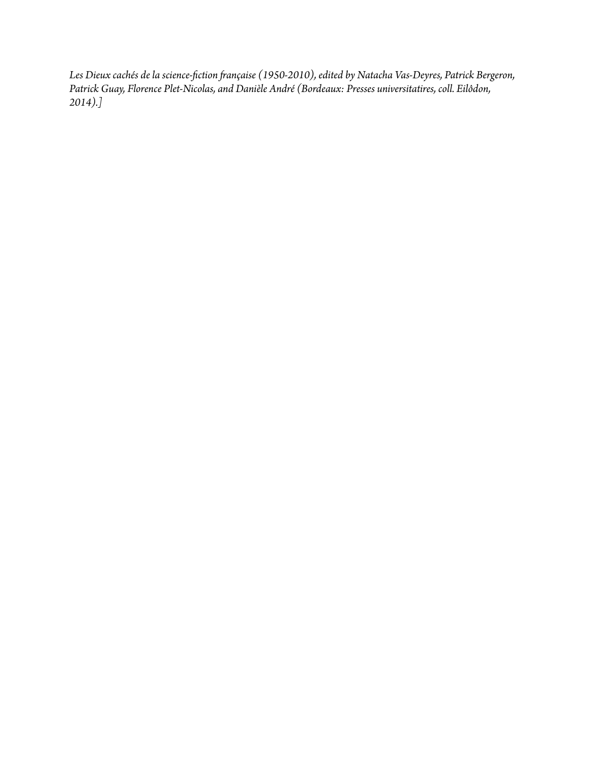*Les Dieux cachés de la science-fiction française (1950-2010), edited by Natacha Vas-Deyres, Patrick Bergeron, Patrick Guay, Florence Plet-Nicolas, and Danièle André (Bordeaux: Presses universitatires, coll. Eilôdon, 2014).]*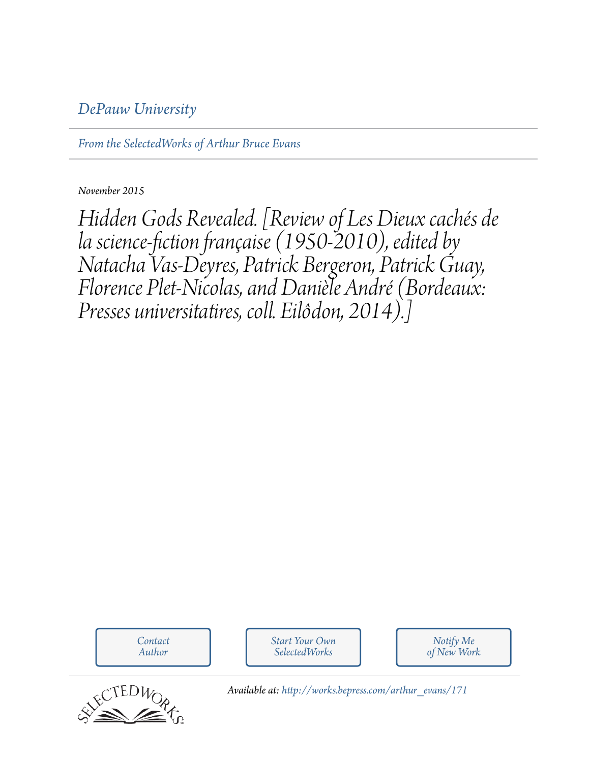# *[DePauw University](http://depauw.edu)*

*[From the SelectedWorks of Arthur Bruce Evans](http://works.bepress.com/arthur_evans)*

*November 2015*

*Hidden Gods Revealed. [Review of Les Dieux cachés de la science-fiction française (1950-2010), edited by Natacha Vas-Deyres, Patrick Bergeron, Patrick Guay, Florence Plet-Nicolas, and Danièle André (Bordeaux: Presses universitatires, coll. Eilôdon, 2014).]*

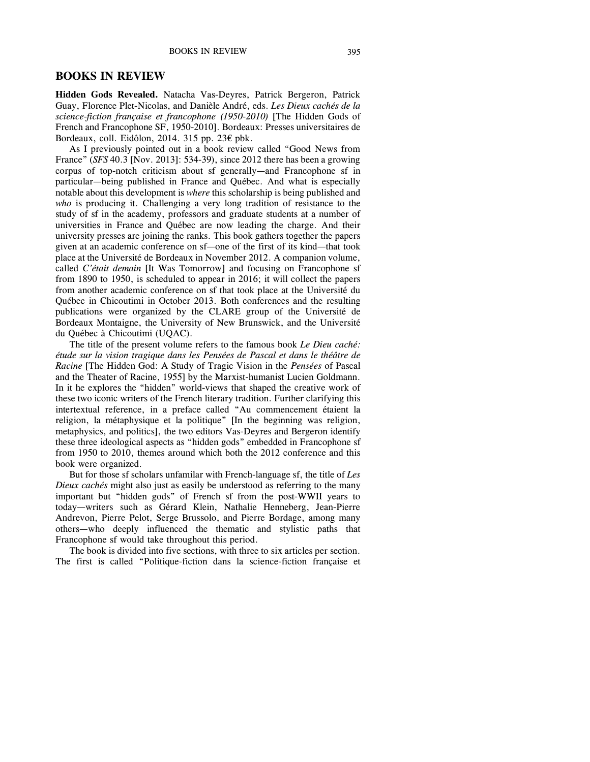#### **BOOKS IN REVIEW**

**Hidden Gods Revealed.** Natacha Vas-Deyres, Patrick Bergeron, Patrick Guay, Florence Plet-Nicolas, and Danièle André, eds. *Les Dieux cachés de la science-fiction française et francophone (1950-2010)* [The Hidden Gods of French and Francophone SF, 1950-2010]. Bordeaux: Presses universitaires de Bordeaux, coll. Eidôlon, 2014. 315 pp. 23€ pbk.

As I previously pointed out in a book review called "Good News from France" (*SFS* 40.3 [Nov. 2013]: 534-39), since 2012 there has been a growing corpus of top-notch criticism about sf generally—and Francophone sf in particular—being published in France and Québec. And what is especially notable about this development is *where* this scholarship is being published and *who* is producing it. Challenging a very long tradition of resistance to the study of sf in the academy, professors and graduate students at a number of universities in France and Québec are now leading the charge. And their university presses are joining the ranks. This book gathers together the papers given at an academic conference on sf—one of the first of its kind—that took place at the Université de Bordeaux in November 2012. A companion volume, called *C'était demain* [It Was Tomorrow] and focusing on Francophone sf from 1890 to 1950, is scheduled to appear in 2016; it will collect the papers from another academic conference on sf that took place at the Université du Québec in Chicoutimi in October 2013. Both conferences and the resulting publications were organized by the CLARE group of the Université de Bordeaux Montaigne, the University of New Brunswick, and the Université du Québec à Chicoutimi (UQAC).

The title of the present volume refers to the famous book *Le Dieu caché: étude sur la vision tragique dans les Pensées de Pascal et dans le théâtre de Racine* [The Hidden God: A Study of Tragic Vision in the *Pensées* of Pascal and the Theater of Racine, 1955] by the Marxist-humanist Lucien Goldmann. In it he explores the "hidden" world-views that shaped the creative work of these two iconic writers of the French literary tradition. Further clarifying this intertextual reference, in a preface called "Au commencement étaient la religion, la métaphysique et la politique" [In the beginning was religion, metaphysics, and politics], the two editors Vas-Deyres and Bergeron identify these three ideological aspects as "hidden gods" embedded in Francophone sf from 1950 to 2010, themes around which both the 2012 conference and this book were organized.

But for those sf scholars unfamilar with French-language sf, the title of *Les Dieux cachés* might also just as easily be understood as referring to the many important but "hidden gods" of French sf from the post-WWII years to today—writers such as Gérard Klein, Nathalie Henneberg, Jean-Pierre Andrevon, Pierre Pelot, Serge Brussolo, and Pierre Bordage, among many others—who deeply influenced the thematic and stylistic paths that Francophone sf would take throughout this period.

The book is divided into five sections, with three to six articles per section. The first is called "Politique-fiction dans la science-fiction française et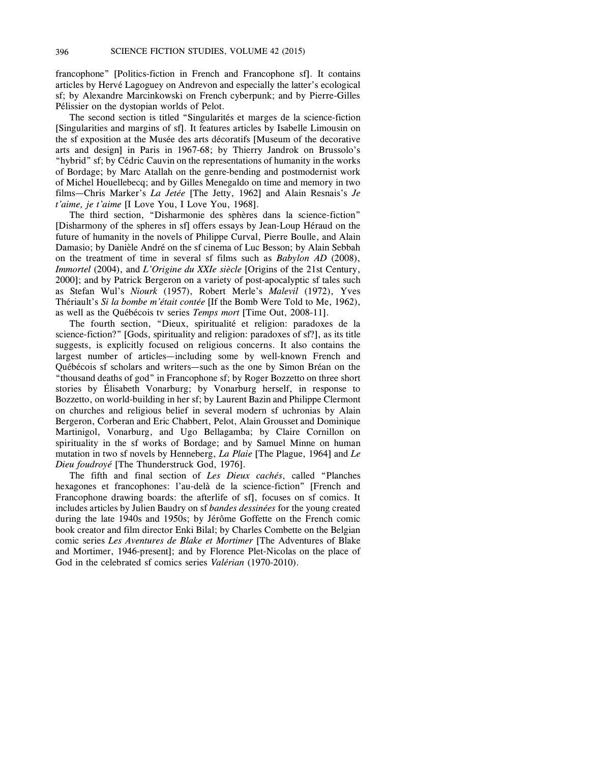francophone" [Politics-fiction in French and Francophone sf]. It contains articles by Hervé Lagoguey on Andrevon and especially the latter's ecological sf; by Alexandre Marcinkowski on French cyberpunk; and by Pierre-Gilles Pélissier on the dystopian worlds of Pelot.

The second section is titled "Singularités et marges de la science-fiction [Singularities and margins of sf]. It features articles by Isabelle Limousin on the sf exposition at the Musée des arts décoratifs [Museum of the decorative arts and design] in Paris in 1967-68; by Thierry Jandrok on Brussolo's "hybrid" sf; by Cédric Cauvin on the representations of humanity in the works of Bordage; by Marc Atallah on the genre-bending and postmodernist work of Michel Houellebecq; and by Gilles Menegaldo on time and memory in two films—Chris Marker's *La Jetée* [The Jetty, 1962] and Alain Resnais's *Je t'aime, je t'aime* [I Love You, I Love You, 1968].

The third section, "Disharmonie des sphères dans la science-fiction" [Disharmony of the spheres in sf] offers essays by Jean-Loup Héraud on the future of humanity in the novels of Philippe Curval, Pierre Boulle, and Alain Damasio; by Danièle André on the sf cinema of Luc Besson; by Alain Sebbah on the treatment of time in several sf films such as *Babylon AD* (2008), *Immortel* (2004), and *L'Origine du XXIe siècle* [Origins of the 21st Century, 2000]; and by Patrick Bergeron on a variety of post-apocalyptic sf tales such as Stefan Wul's *Niourk* (1957), Robert Merle's *Malevil* (1972), Yves Thériault's *Si la bombe m'était contée* [If the Bomb Were Told to Me, 1962), as well as the Québécois tv series *Temps mort* [Time Out, 2008-11].

The fourth section, "Dieux, spiritualité et religion: paradoxes de la science-fiction?" [Gods, spirituality and religion: paradoxes of sf?], as its title suggests, is explicitly focused on religious concerns. It also contains the largest number of articles—including some by well-known French and Québécois sf scholars and writers—such as the one by Simon Bréan on the "thousand deaths of god" in Francophone sf; by Roger Bozzetto on three short stories by Élisabeth Vonarburg; by Vonarburg herself, in response to Bozzetto, on world-building in her sf; by Laurent Bazin and Philippe Clermont on churches and religious belief in several modern sf uchronias by Alain Bergeron, Corberan and Eric Chabbert, Pelot, Alain Grousset and Dominique Martinigol, Vonarburg, and Ugo Bellagamba; by Claire Cornillon on spirituality in the sf works of Bordage; and by Samuel Minne on human mutation in two sf novels by Henneberg, *La Plaie* [The Plague, 1964] and *Le Dieu foudroyé* [The Thunderstruck God, 1976].

The fifth and final section of *Les Dieux cachés*, called "Planches hexagones et francophones: l'au-delà de la science-fiction" [French and Francophone drawing boards: the afterlife of sf], focuses on sf comics. It includes articles by Julien Baudry on sf *bandes dessinées* for the young created during the late 1940s and 1950s; by Jérôme Goffette on the French comic book creator and film director Enki Bilal; by Charles Combette on the Belgian comic series *Les Aventures de Blake et Mortimer* [The Adventures of Blake and Mortimer, 1946-present]; and by Florence Plet-Nicolas on the place of God in the celebrated sf comics series *Valérian* (1970-2010).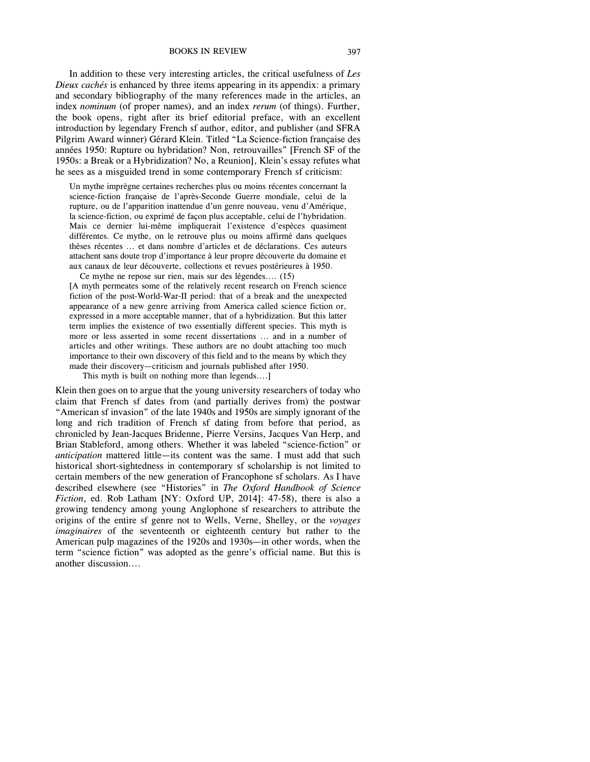BOOKS IN REVIEW 397

In addition to these very interesting articles, the critical usefulness of *Les Dieux cachés* is enhanced by three items appearing in its appendix: a primary and secondary bibliography of the many references made in the articles, an index *nominum* (of proper names), and an index *rerum* (of things). Further, the book opens, right after its brief editorial preface, with an excellent introduction by legendary French sf author, editor, and publisher (and SFRA Pilgrim Award winner) Gérard Klein. Titled "La Science-fiction française des années 1950: Rupture ou hybridation? Non, retrouvailles" [French SF of the 1950s: a Break or a Hybridization? No, a Reunion], Klein's essay refutes what he sees as a misguided trend in some contemporary French sf criticism:

Un mythe imprègne certaines recherches plus ou moins récentes concernant la science-fiction française de l'après-Seconde Guerre mondiale, celui de la rupture, ou de l'apparition inattendue d'un genre nouveau, venu d'Amérique, la science-fiction, ou exprimé de façon plus acceptable, celui de l'hybridation. Mais ce dernier lui-même impliquerait l'existence d'espèces quasiment différentes. Ce mythe, on le retrouve plus ou moins affirmé dans quelques thèses récentes ... et dans nombre d'articles et de déclarations. Ces auteurs attachent sans doute trop d'importance à leur propre découverte du domaine et aux canaux de leur découverte, collections et revues postérieures à 1950.

Ce mythe ne repose sur rien, mais sur des légendes.... (15) [A myth permeates some of the relatively recent research on French science fiction of the post-World-War-II period: that of a break and the unexpected appearance of a new genre arriving from America called science fiction or, expressed in a more acceptable manner, that of a hybridization. But this latter term implies the existence of two essentially different species. This myth is more or less asserted in some recent dissertations ... and in a number of articles and other writings. These authors are no doubt attaching too much importance to their own discovery of this field and to the means by which they made their discovery—criticism and journals published after 1950.

This myth is built on nothing more than legends....]

Klein then goes on to argue that the young university researchers of today who claim that French sf dates from (and partially derives from) the postwar "American sf invasion" of the late 1940s and 1950s are simply ignorant of the long and rich tradition of French sf dating from before that period, as chronicled by Jean-Jacques Bridenne, Pierre Versins, Jacques Van Herp, and Brian Stableford, among others. Whether it was labeled "science-fiction" or *anticipation* mattered little—its content was the same. I must add that such historical short-sightedness in contemporary sf scholarship is not limited to certain members of the new generation of Francophone sf scholars. As I have described elsewhere (see "Histories" in *The Oxford Handbook of Science Fiction*, ed. Rob Latham [NY: Oxford UP, 2014]: 47-58), there is also a growing tendency among young Anglophone sf researchers to attribute the origins of the entire sf genre not to Wells, Verne, Shelley, or the *voyages imaginaires* of the seventeenth or eighteenth century but rather to the American pulp magazines of the 1920s and 1930s—in other words, when the term "science fiction" was adopted as the genre's official name. But this is another discussion....